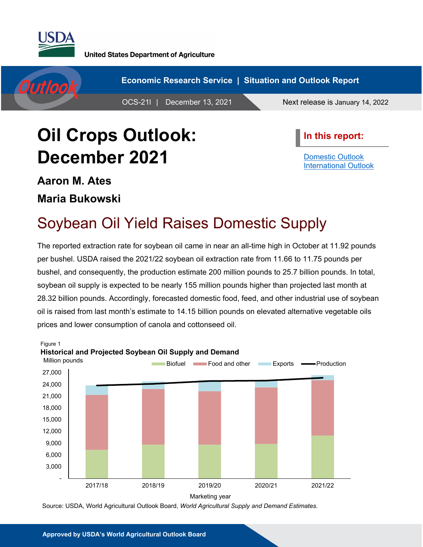

**United States Department of Agriculture** 



# **Oil Crops Outlook: December 2021**

**In this report:**

[Domestic Outlook](#page-1-0) [International Outlook](#page-4-0)

**Aaron M. Ates Maria Bukowski**

## Soybean Oil Yield Raises Domestic Supply

The reported extraction rate for soybean oil came in near an all-time high in October at 11.92 pounds per bushel. USDA raised the 2021/22 soybean oil extraction rate from 11.66 to 11.75 pounds per bushel, and consequently, the production estimate 200 million pounds to 25.7 billion pounds. In total, soybean oil supply is expected to be nearly 155 million pounds higher than projected last month at 28.32 billion pounds. Accordingly, forecasted domestic food, feed, and other industrial use of soybean oil is raised from last month's estimate to 14.15 billion pounds on elevated alternative vegetable oils prices and lower consumption of canola and cottonseed oil.



Source: USDA, World Agricultural Outlook Board, *World Agricultural Supply and Demand Estimates*.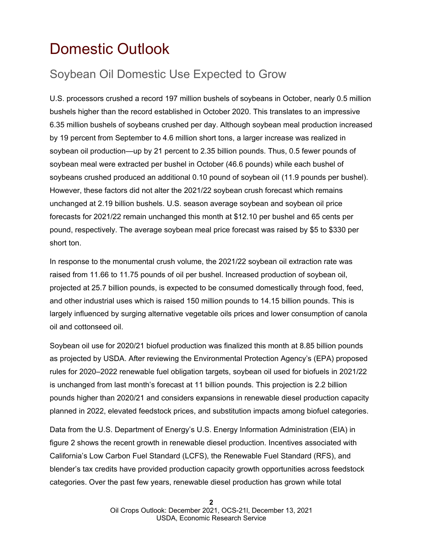## <span id="page-1-0"></span>Domestic Outlook

### Soybean Oil Domestic Use Expected to Grow

U.S. processors crushed a record 197 million bushels of soybeans in October, nearly 0.5 million bushels higher than the record established in October 2020. This translates to an impressive 6.35 million bushels of soybeans crushed per day. Although soybean meal production increased by 19 percent from September to 4.6 million short tons, a larger increase was realized in soybean oil production—up by 21 percent to 2.35 billion pounds. Thus, 0.5 fewer pounds of soybean meal were extracted per bushel in October (46.6 pounds) while each bushel of soybeans crushed produced an additional 0.10 pound of soybean oil (11.9 pounds per bushel). However, these factors did not alter the 2021/22 soybean crush forecast which remains unchanged at 2.19 billion bushels. U.S. season average soybean and soybean oil price forecasts for 2021/22 remain unchanged this month at \$12.10 per bushel and 65 cents per pound, respectively. The average soybean meal price forecast was raised by \$5 to \$330 per short ton.

In response to the monumental crush volume, the 2021/22 soybean oil extraction rate was raised from 11.66 to 11.75 pounds of oil per bushel. Increased production of soybean oil, projected at 25.7 billion pounds, is expected to be consumed domestically through food, feed, and other industrial uses which is raised 150 million pounds to 14.15 billion pounds. This is largely influenced by surging alternative vegetable oils prices and lower consumption of canola oil and cottonseed oil.

Soybean oil use for 2020/21 biofuel production was finalized this month at 8.85 billion pounds as projected by USDA. After reviewing the Environmental Protection Agency's (EPA) proposed rules for 2020–2022 renewable fuel obligation targets, soybean oil used for biofuels in 2021/22 is unchanged from last month's forecast at 11 billion pounds. This projection is 2.2 billion pounds higher than 2020/21 and considers expansions in renewable diesel production capacity planned in 2022, elevated feedstock prices, and substitution impacts among biofuel categories.

Data from the U.S. Department of Energy's U.S. Energy Information Administration (EIA) in figure 2 shows the recent growth in renewable diesel production. Incentives associated with California's Low Carbon Fuel Standard (LCFS), the Renewable Fuel Standard (RFS), and blender's tax credits have provided production capacity growth opportunities across feedstock categories. Over the past few years, renewable diesel production has grown while total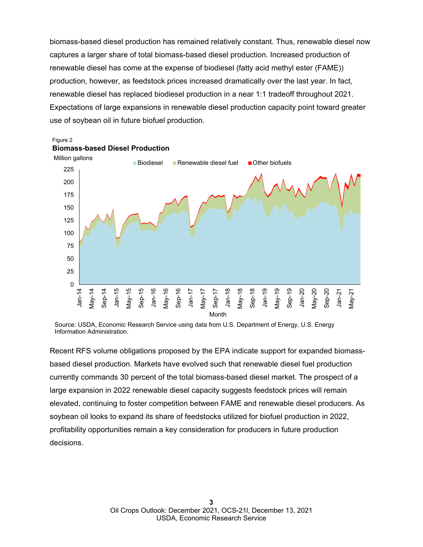biomass-based diesel production has remained relatively constant. Thus, renewable diesel now captures a larger share of total biomass-based diesel production. Increased production of renewable diesel has come at the expense of biodiesel (fatty acid methyl ester (FAME)) production, however, as feedstock prices increased dramatically over the last year. In fact, renewable diesel has replaced biodiesel production in a near 1:1 tradeoff throughout 2021. Expectations of large expansions in renewable diesel production capacity point toward greater use of soybean oil in future biofuel production.





Source: USDA, Economic Research Service using data from U.S. Department of Energy, U.S. Energy Information Administration.

Recent RFS volume obligations proposed by the EPA indicate support for expanded biomassbased diesel production. Markets have evolved such that renewable diesel fuel production currently commands 30 percent of the total biomass-based diesel market. The prospect of a large expansion in 2022 renewable diesel capacity suggests feedstock prices will remain elevated, continuing to foster competition between FAME and renewable diesel producers. As soybean oil looks to expand its share of feedstocks utilized for biofuel production in 2022, profitability opportunities remain a key consideration for producers in future production decisions.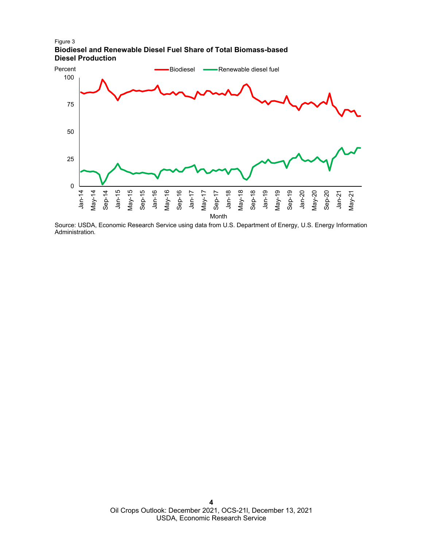Figure 3 **Biodiesel and Renewable Diesel Fuel Share of Total Biomass-based Diesel Production**



Source: USDA, Economic Research Service using data from U.S. Department of Energy, U.S. Energy Information Administration*.*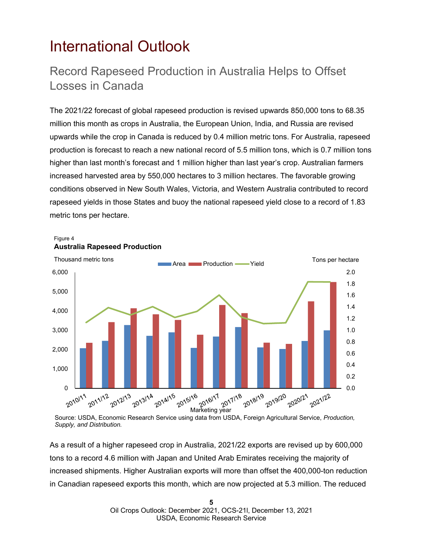### <span id="page-4-0"></span>International Outlook

Figure 4

#### Record Rapeseed Production in Australia Helps to Offset Losses in Canada

The 2021/22 forecast of global rapeseed production is revised upwards 850,000 tons to 68.35 million this month as crops in Australia, the European Union, India, and Russia are revised upwards while the crop in Canada is reduced by 0.4 million metric tons. For Australia, rapeseed production is forecast to reach a new national record of 5.5 million tons, which is 0.7 million tons higher than last month's forecast and 1 million higher than last year's crop. Australian farmers increased harvested area by 550,000 hectares to 3 million hectares. The favorable growing conditions observed in New South Wales, Victoria, and Western Australia contributed to record rapeseed yields in those States and buoy the national rapeseed yield close to a record of 1.83 metric tons per hectare.



Source: USDA, Economic Research Service using data from USDA, Foreign Agricultural Service, *Production, Supply, and Distribution.*

As a result of a higher rapeseed crop in Australia, 2021/22 exports are revised up by 600,000 tons to a record 4.6 million with Japan and United Arab Emirates receiving the majority of increased shipments. Higher Australian exports will more than offset the 400,000-ton reduction in Canadian rapeseed exports this month, which are now projected at 5.3 million. The reduced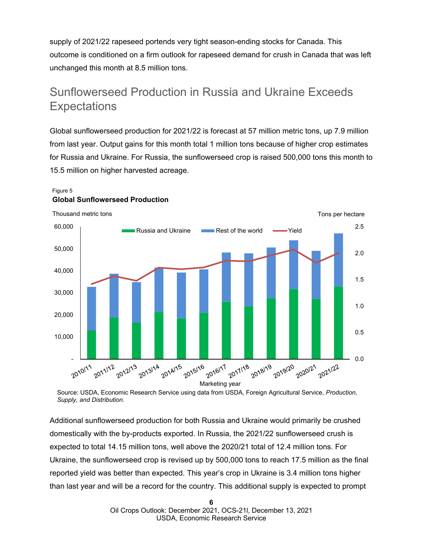supply of 2021/22 rapeseed portends very tight season-ending stocks for Canada. This outcome is conditioned on a firm outlook for rapeseed demand for crush in Canada that was left unchanged this month at 8.5 million tons.

#### Sunflowerseed Production in Russia and Ukraine Exceeds **Expectations**

Global sunflowerseed production for 2021/22 is forecast at 57 million metric tons, up 7.9 million from last year. Output gains for this month total 1 million tons because of higher crop estimates for Russia and Ukraine. For Russia, the sunflowerseed crop is raised 500,000 tons this month to 15.5 million on higher harvested acreage.

#### Figure 5 **Global Sunflowerseed Production**



Source: USDA, Economic Research Service using data from USDA, Foreign Agricultural Service, *Production, Supply, and Distribution.*

Additional sunflowerseed production for both Russia and Ukraine would primarily be crushed domestically with the by-products exported. In Russia, the 2021/22 sunflowerseed crush is expected to total 14.15 million tons, well above the 2020/21 total of 12.4 million tons. For Ukraine, the sunflowerseed crop is revised up by 500,000 tons to reach 17.5 million as the final reported yield was better than expected. This year's crop in Ukraine is 3.4 million tons higher than last year and will be a record for the country. This additional supply is expected to prompt

> **6** Oil Crops Outlook: December 2021, OCS-21l, December 13, 2021 USDA, Economic Research Service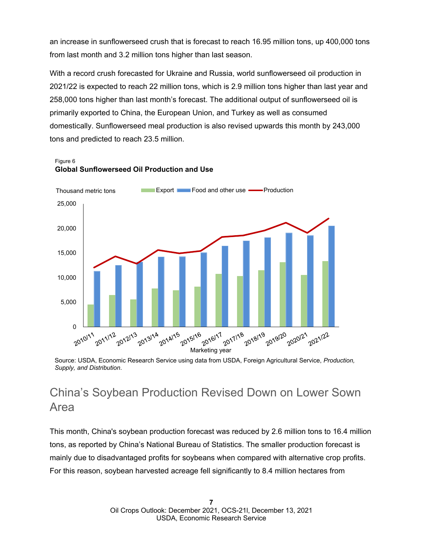an increase in sunflowerseed crush that is forecast to reach 16.95 million tons, up 400,000 tons from last month and 3.2 million tons higher than last season.

With a record crush forecasted for Ukraine and Russia, world sunflowerseed oil production in 2021/22 is expected to reach 22 million tons, which is 2.9 million tons higher than last year and 258,000 tons higher than last month's forecast. The additional output of sunflowerseed oil is primarily exported to China, the European Union, and Turkey as well as consumed domestically. Sunflowerseed meal production is also revised upwards this month by 243,000 tons and predicted to reach 23.5 million.

#### Figure 6 **Global Sunflowerseed Oil Production and Use**



Source: USDA, Economic Research Service using data from USDA, Foreign Agricultural Service, *Production, Supply, and Distribution*.

### China's Soybean Production Revised Down on Lower Sown Area

This month, China's soybean production forecast was reduced by 2.6 million tons to 16.4 million tons, as reported by China's National Bureau of Statistics. The smaller production forecast is mainly due to disadvantaged profits for soybeans when compared with alternative crop profits. For this reason, soybean harvested acreage fell significantly to 8.4 million hectares from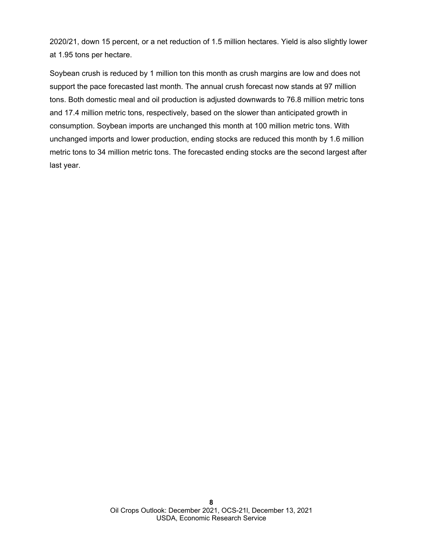2020/21, down 15 percent, or a net reduction of 1.5 million hectares. Yield is also slightly lower at 1.95 tons per hectare.

Soybean crush is reduced by 1 million ton this month as crush margins are low and does not support the pace forecasted last month. The annual crush forecast now stands at 97 million tons. Both domestic meal and oil production is adjusted downwards to 76.8 million metric tons and 17.4 million metric tons, respectively, based on the slower than anticipated growth in consumption. Soybean imports are unchanged this month at 100 million metric tons. With unchanged imports and lower production, ending stocks are reduced this month by 1.6 million metric tons to 34 million metric tons. The forecasted ending stocks are the second largest after last year.